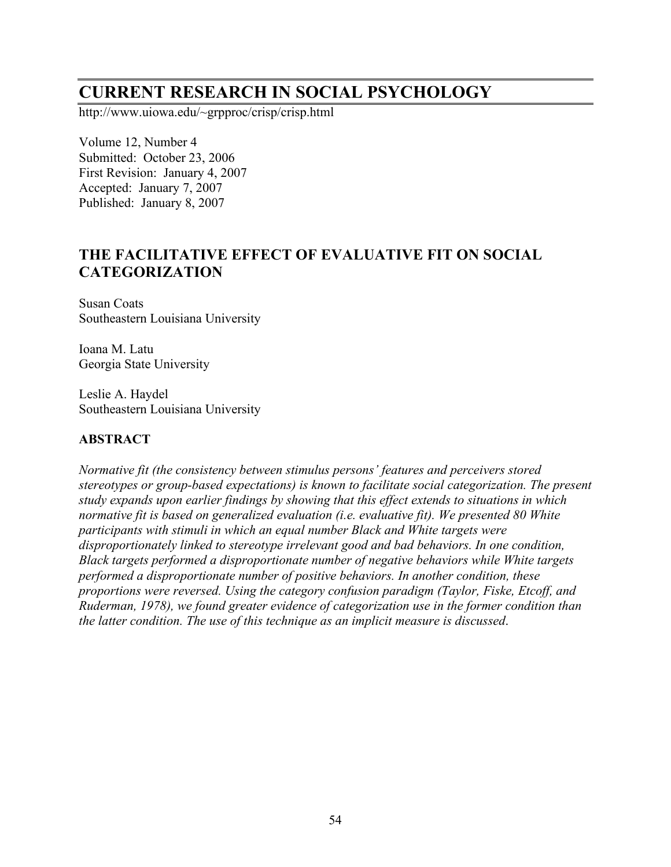# **CURRENT RESEARCH IN SOCIAL PSYCHOLOGY**

http://www.uiowa.edu/~grpproc/crisp/crisp.html

Volume 12, Number 4 Submitted: October 23, 2006 First Revision: January 4, 2007 Accepted: January 7, 2007 Published: January 8, 2007

## **THE FACILITATIVE EFFECT OF EVALUATIVE FIT ON SOCIAL CATEGORIZATION**

Susan Coats Southeastern Louisiana University

Ioana M. Latu Georgia State University

Leslie A. Haydel Southeastern Louisiana University

### **ABSTRACT**

*Normative fit (the consistency between stimulus persons' features and perceivers stored stereotypes or group-based expectations) is known to facilitate social categorization. The present study expands upon earlier findings by showing that this effect extends to situations in which normative fit is based on generalized evaluation (i.e. evaluative fit). We presented 80 White participants with stimuli in which an equal number Black and White targets were disproportionately linked to stereotype irrelevant good and bad behaviors. In one condition, Black targets performed a disproportionate number of negative behaviors while White targets performed a disproportionate number of positive behaviors. In another condition, these proportions were reversed. Using the category confusion paradigm (Taylor, Fiske, Etcoff, and Ruderman, 1978), we found greater evidence of categorization use in the former condition than the latter condition. The use of this technique as an implicit measure is discussed*.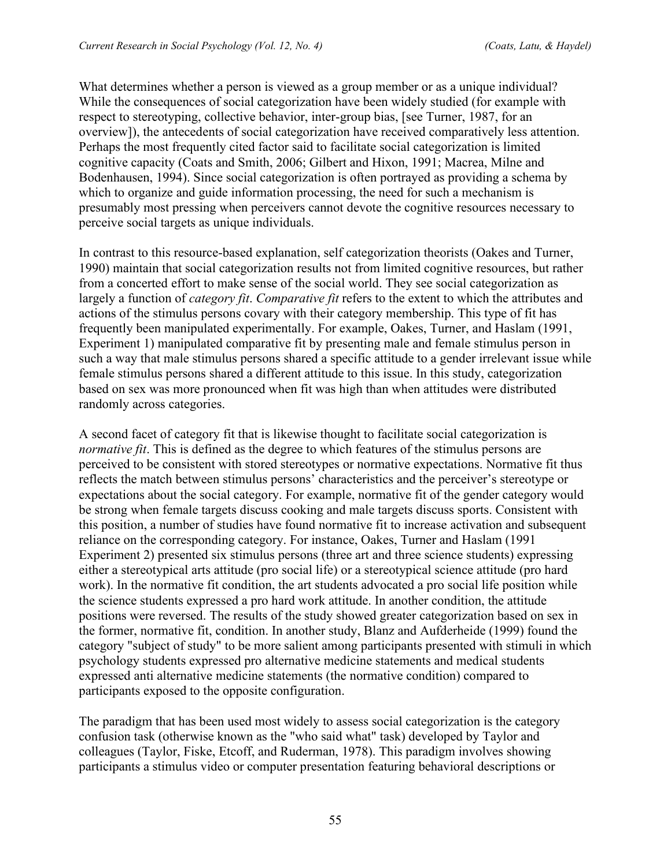What determines whether a person is viewed as a group member or as a unique individual? While the consequences of social categorization have been widely studied (for example with respect to stereotyping, collective behavior, inter-group bias, [see Turner, 1987, for an overview]), the antecedents of social categorization have received comparatively less attention. Perhaps the most frequently cited factor said to facilitate social categorization is limited cognitive capacity (Coats and Smith, 2006; Gilbert and Hixon, 1991; Macrea, Milne and Bodenhausen, 1994). Since social categorization is often portrayed as providing a schema by which to organize and guide information processing, the need for such a mechanism is presumably most pressing when perceivers cannot devote the cognitive resources necessary to perceive social targets as unique individuals.

In contrast to this resource-based explanation, self categorization theorists (Oakes and Turner, 1990) maintain that social categorization results not from limited cognitive resources, but rather from a concerted effort to make sense of the social world. They see social categorization as largely a function of *category fit*. *Comparative fit* refers to the extent to which the attributes and actions of the stimulus persons covary with their category membership. This type of fit has frequently been manipulated experimentally. For example, Oakes, Turner, and Haslam (1991, Experiment 1) manipulated comparative fit by presenting male and female stimulus person in such a way that male stimulus persons shared a specific attitude to a gender irrelevant issue while female stimulus persons shared a different attitude to this issue. In this study, categorization based on sex was more pronounced when fit was high than when attitudes were distributed randomly across categories.

A second facet of category fit that is likewise thought to facilitate social categorization is *normative fit*. This is defined as the degree to which features of the stimulus persons are perceived to be consistent with stored stereotypes or normative expectations. Normative fit thus reflects the match between stimulus persons' characteristics and the perceiver's stereotype or expectations about the social category. For example, normative fit of the gender category would be strong when female targets discuss cooking and male targets discuss sports. Consistent with this position, a number of studies have found normative fit to increase activation and subsequent reliance on the corresponding category. For instance, Oakes, Turner and Haslam (1991 Experiment 2) presented six stimulus persons (three art and three science students) expressing either a stereotypical arts attitude (pro social life) or a stereotypical science attitude (pro hard work). In the normative fit condition, the art students advocated a pro social life position while the science students expressed a pro hard work attitude. In another condition, the attitude positions were reversed. The results of the study showed greater categorization based on sex in the former, normative fit, condition. In another study, Blanz and Aufderheide (1999) found the category "subject of study" to be more salient among participants presented with stimuli in which psychology students expressed pro alternative medicine statements and medical students expressed anti alternative medicine statements (the normative condition) compared to participants exposed to the opposite configuration.

The paradigm that has been used most widely to assess social categorization is the category confusion task (otherwise known as the "who said what" task) developed by Taylor and colleagues (Taylor, Fiske, Etcoff, and Ruderman, 1978). This paradigm involves showing participants a stimulus video or computer presentation featuring behavioral descriptions or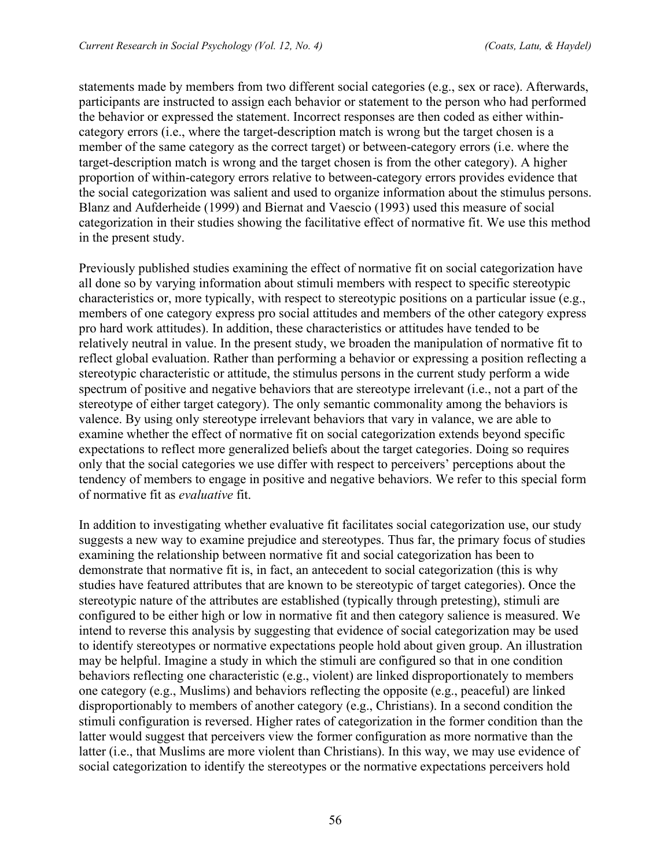statements made by members from two different social categories (e.g., sex or race). Afterwards, participants are instructed to assign each behavior or statement to the person who had performed the behavior or expressed the statement. Incorrect responses are then coded as either withincategory errors (i.e., where the target-description match is wrong but the target chosen is a member of the same category as the correct target) or between-category errors (i.e. where the target-description match is wrong and the target chosen is from the other category). A higher proportion of within-category errors relative to between-category errors provides evidence that the social categorization was salient and used to organize information about the stimulus persons. Blanz and Aufderheide (1999) and Biernat and Vaescio (1993) used this measure of social categorization in their studies showing the facilitative effect of normative fit. We use this method in the present study.

Previously published studies examining the effect of normative fit on social categorization have all done so by varying information about stimuli members with respect to specific stereotypic characteristics or, more typically, with respect to stereotypic positions on a particular issue (e.g., members of one category express pro social attitudes and members of the other category express pro hard work attitudes). In addition, these characteristics or attitudes have tended to be relatively neutral in value. In the present study, we broaden the manipulation of normative fit to reflect global evaluation. Rather than performing a behavior or expressing a position reflecting a stereotypic characteristic or attitude, the stimulus persons in the current study perform a wide spectrum of positive and negative behaviors that are stereotype irrelevant (i.e., not a part of the stereotype of either target category). The only semantic commonality among the behaviors is valence. By using only stereotype irrelevant behaviors that vary in valance, we are able to examine whether the effect of normative fit on social categorization extends beyond specific expectations to reflect more generalized beliefs about the target categories. Doing so requires only that the social categories we use differ with respect to perceivers' perceptions about the tendency of members to engage in positive and negative behaviors. We refer to this special form of normative fit as *evaluative* fit.

In addition to investigating whether evaluative fit facilitates social categorization use, our study suggests a new way to examine prejudice and stereotypes. Thus far, the primary focus of studies examining the relationship between normative fit and social categorization has been to demonstrate that normative fit is, in fact, an antecedent to social categorization (this is why studies have featured attributes that are known to be stereotypic of target categories). Once the stereotypic nature of the attributes are established (typically through pretesting), stimuli are configured to be either high or low in normative fit and then category salience is measured. We intend to reverse this analysis by suggesting that evidence of social categorization may be used to identify stereotypes or normative expectations people hold about given group. An illustration may be helpful. Imagine a study in which the stimuli are configured so that in one condition behaviors reflecting one characteristic (e.g., violent) are linked disproportionately to members one category (e.g., Muslims) and behaviors reflecting the opposite (e.g., peaceful) are linked disproportionably to members of another category (e.g., Christians). In a second condition the stimuli configuration is reversed. Higher rates of categorization in the former condition than the latter would suggest that perceivers view the former configuration as more normative than the latter (i.e., that Muslims are more violent than Christians). In this way, we may use evidence of social categorization to identify the stereotypes or the normative expectations perceivers hold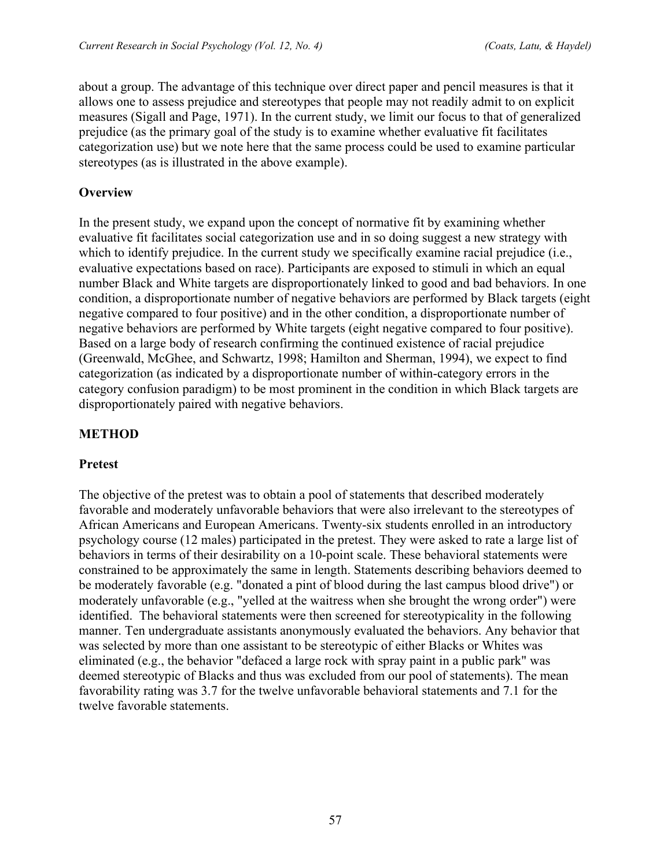about a group. The advantage of this technique over direct paper and pencil measures is that it allows one to assess prejudice and stereotypes that people may not readily admit to on explicit measures (Sigall and Page, 1971). In the current study, we limit our focus to that of generalized prejudice (as the primary goal of the study is to examine whether evaluative fit facilitates categorization use) but we note here that the same process could be used to examine particular stereotypes (as is illustrated in the above example).

### **Overview**

In the present study, we expand upon the concept of normative fit by examining whether evaluative fit facilitates social categorization use and in so doing suggest a new strategy with which to identify prejudice. In the current study we specifically examine racial prejudice (i.e., evaluative expectations based on race). Participants are exposed to stimuli in which an equal number Black and White targets are disproportionately linked to good and bad behaviors. In one condition, a disproportionate number of negative behaviors are performed by Black targets (eight negative compared to four positive) and in the other condition, a disproportionate number of negative behaviors are performed by White targets (eight negative compared to four positive). Based on a large body of research confirming the continued existence of racial prejudice (Greenwald, McGhee, and Schwartz, 1998; Hamilton and Sherman, 1994), we expect to find categorization (as indicated by a disproportionate number of within-category errors in the category confusion paradigm) to be most prominent in the condition in which Black targets are disproportionately paired with negative behaviors.

### **METHOD**

### **Pretest**

The objective of the pretest was to obtain a pool of statements that described moderately favorable and moderately unfavorable behaviors that were also irrelevant to the stereotypes of African Americans and European Americans. Twenty-six students enrolled in an introductory psychology course (12 males) participated in the pretest. They were asked to rate a large list of behaviors in terms of their desirability on a 10-point scale. These behavioral statements were constrained to be approximately the same in length. Statements describing behaviors deemed to be moderately favorable (e.g. "donated a pint of blood during the last campus blood drive") or moderately unfavorable (e.g., "yelled at the waitress when she brought the wrong order") were identified. The behavioral statements were then screened for stereotypicality in the following manner. Ten undergraduate assistants anonymously evaluated the behaviors. Any behavior that was selected by more than one assistant to be stereotypic of either Blacks or Whites was eliminated (e.g., the behavior "defaced a large rock with spray paint in a public park" was deemed stereotypic of Blacks and thus was excluded from our pool of statements). The mean favorability rating was 3.7 for the twelve unfavorable behavioral statements and 7.1 for the twelve favorable statements.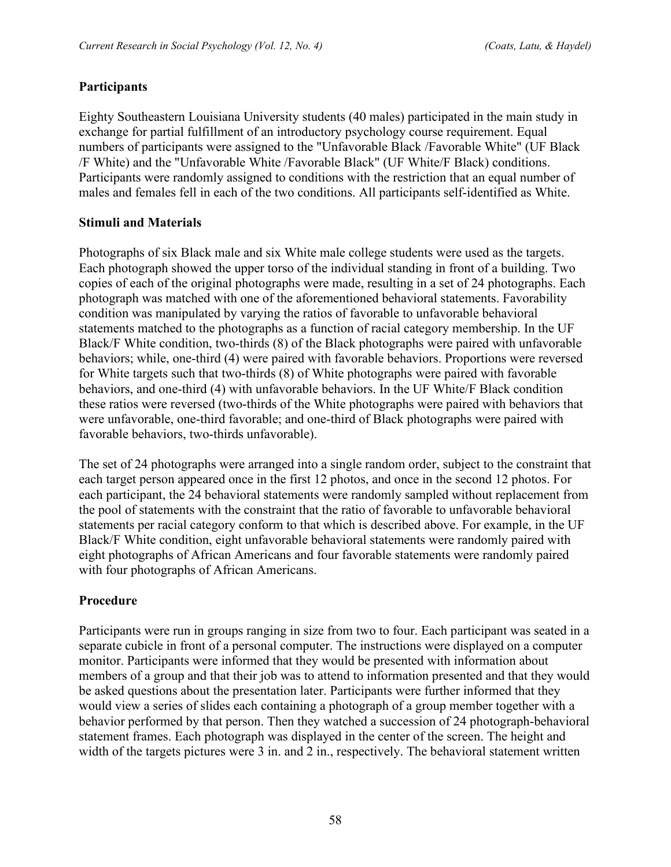### **Participants**

Eighty Southeastern Louisiana University students (40 males) participated in the main study in exchange for partial fulfillment of an introductory psychology course requirement. Equal numbers of participants were assigned to the "Unfavorable Black /Favorable White" (UF Black /F White) and the "Unfavorable White /Favorable Black" (UF White/F Black) conditions. Participants were randomly assigned to conditions with the restriction that an equal number of males and females fell in each of the two conditions. All participants self-identified as White.

### **Stimuli and Materials**

Photographs of six Black male and six White male college students were used as the targets. Each photograph showed the upper torso of the individual standing in front of a building. Two copies of each of the original photographs were made, resulting in a set of 24 photographs. Each photograph was matched with one of the aforementioned behavioral statements. Favorability condition was manipulated by varying the ratios of favorable to unfavorable behavioral statements matched to the photographs as a function of racial category membership. In the UF Black/F White condition, two-thirds (8) of the Black photographs were paired with unfavorable behaviors; while, one-third (4) were paired with favorable behaviors. Proportions were reversed for White targets such that two-thirds (8) of White photographs were paired with favorable behaviors, and one-third (4) with unfavorable behaviors. In the UF White/F Black condition these ratios were reversed (two-thirds of the White photographs were paired with behaviors that were unfavorable, one-third favorable; and one-third of Black photographs were paired with favorable behaviors, two-thirds unfavorable).

The set of 24 photographs were arranged into a single random order, subject to the constraint that each target person appeared once in the first 12 photos, and once in the second 12 photos. For each participant, the 24 behavioral statements were randomly sampled without replacement from the pool of statements with the constraint that the ratio of favorable to unfavorable behavioral statements per racial category conform to that which is described above. For example, in the UF Black/F White condition, eight unfavorable behavioral statements were randomly paired with eight photographs of African Americans and four favorable statements were randomly paired with four photographs of African Americans.

### **Procedure**

Participants were run in groups ranging in size from two to four. Each participant was seated in a separate cubicle in front of a personal computer. The instructions were displayed on a computer monitor. Participants were informed that they would be presented with information about members of a group and that their job was to attend to information presented and that they would be asked questions about the presentation later. Participants were further informed that they would view a series of slides each containing a photograph of a group member together with a behavior performed by that person. Then they watched a succession of 24 photograph-behavioral statement frames. Each photograph was displayed in the center of the screen. The height and width of the targets pictures were 3 in. and 2 in., respectively. The behavioral statement written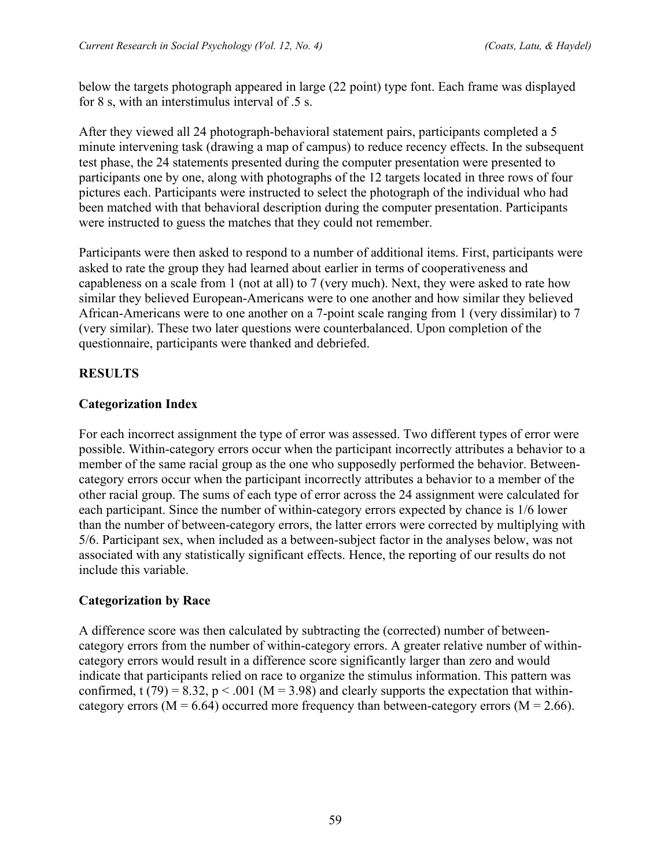below the targets photograph appeared in large (22 point) type font. Each frame was displayed for 8 s, with an interstimulus interval of .5 s.

After they viewed all 24 photograph-behavioral statement pairs, participants completed a 5 minute intervening task (drawing a map of campus) to reduce recency effects. In the subsequent test phase, the 24 statements presented during the computer presentation were presented to participants one by one, along with photographs of the 12 targets located in three rows of four pictures each. Participants were instructed to select the photograph of the individual who had been matched with that behavioral description during the computer presentation. Participants were instructed to guess the matches that they could not remember.

Participants were then asked to respond to a number of additional items. First, participants were asked to rate the group they had learned about earlier in terms of cooperativeness and capableness on a scale from 1 (not at all) to 7 (very much). Next, they were asked to rate how similar they believed European-Americans were to one another and how similar they believed African-Americans were to one another on a 7-point scale ranging from 1 (very dissimilar) to 7 (very similar). These two later questions were counterbalanced. Upon completion of the questionnaire, participants were thanked and debriefed.

### **RESULTS**

### **Categorization Index**

For each incorrect assignment the type of error was assessed. Two different types of error were possible. Within-category errors occur when the participant incorrectly attributes a behavior to a member of the same racial group as the one who supposedly performed the behavior. Betweencategory errors occur when the participant incorrectly attributes a behavior to a member of the other racial group. The sums of each type of error across the 24 assignment were calculated for each participant. Since the number of within-category errors expected by chance is 1/6 lower than the number of between-category errors, the latter errors were corrected by multiplying with 5/6. Participant sex, when included as a between-subject factor in the analyses below, was not associated with any statistically significant effects. Hence, the reporting of our results do not include this variable.

### **Categorization by Race**

A difference score was then calculated by subtracting the (corrected) number of betweencategory errors from the number of within-category errors. A greater relative number of withincategory errors would result in a difference score significantly larger than zero and would indicate that participants relied on race to organize the stimulus information. This pattern was confirmed, t (79) = 8.32, p < .001 ( $M = 3.98$ ) and clearly supports the expectation that withincategory errors ( $M = 6.64$ ) occurred more frequency than between-category errors ( $M = 2.66$ ).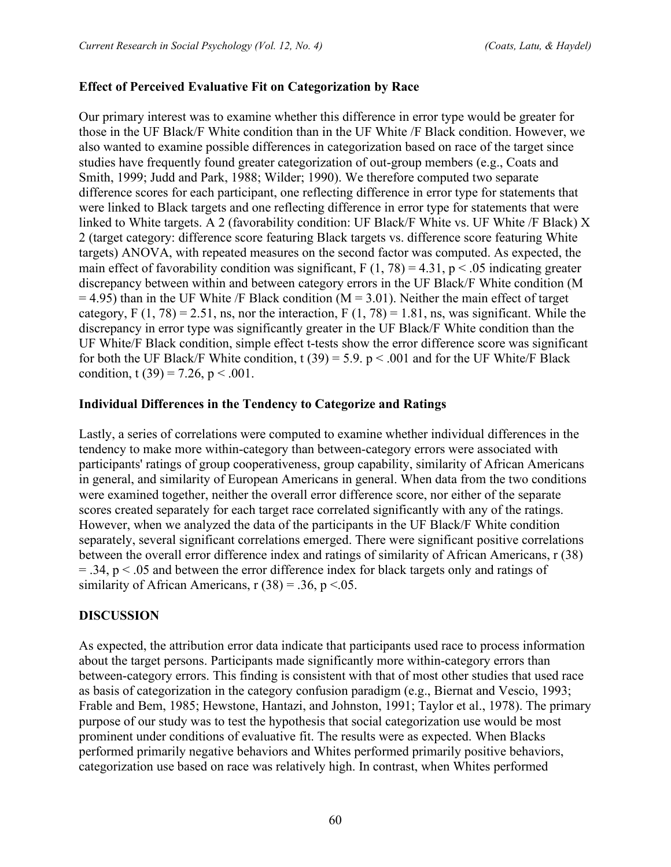#### **Effect of Perceived Evaluative Fit on Categorization by Race**

Our primary interest was to examine whether this difference in error type would be greater for those in the UF Black/F White condition than in the UF White /F Black condition. However, we also wanted to examine possible differences in categorization based on race of the target since studies have frequently found greater categorization of out-group members (e.g., Coats and Smith, 1999; Judd and Park, 1988; Wilder; 1990). We therefore computed two separate difference scores for each participant, one reflecting difference in error type for statements that were linked to Black targets and one reflecting difference in error type for statements that were linked to White targets. A 2 (favorability condition: UF Black/F White vs. UF White /F Black) X 2 (target category: difference score featuring Black targets vs. difference score featuring White targets) ANOVA, with repeated measures on the second factor was computed. As expected, the main effect of favorability condition was significant,  $F(1, 78) = 4.31$ ,  $p < .05$  indicating greater discrepancy between within and between category errors in the UF Black/F White condition (M  $= 4.95$ ) than in the UF White /F Black condition (M = 3.01). Neither the main effect of target category, F  $(1, 78) = 2.51$ , ns, nor the interaction, F  $(1, 78) = 1.81$ , ns, was significant. While the discrepancy in error type was significantly greater in the UF Black/F White condition than the UF White/F Black condition, simple effect t-tests show the error difference score was significant for both the UF Black/F White condition, t (39) = 5.9.  $p < .001$  and for the UF White/F Black condition, t (39) = 7.26, p < .001.

#### **Individual Differences in the Tendency to Categorize and Ratings**

Lastly, a series of correlations were computed to examine whether individual differences in the tendency to make more within-category than between-category errors were associated with participants' ratings of group cooperativeness, group capability, similarity of African Americans in general, and similarity of European Americans in general. When data from the two conditions were examined together, neither the overall error difference score, nor either of the separate scores created separately for each target race correlated significantly with any of the ratings. However, when we analyzed the data of the participants in the UF Black/F White condition separately, several significant correlations emerged. There were significant positive correlations between the overall error difference index and ratings of similarity of African Americans, r (38)  $= .34$ ,  $p < .05$  and between the error difference index for black targets only and ratings of similarity of African Americans,  $r(38) = .36$ ,  $p < .05$ .

#### **DISCUSSION**

As expected, the attribution error data indicate that participants used race to process information about the target persons. Participants made significantly more within-category errors than between-category errors. This finding is consistent with that of most other studies that used race as basis of categorization in the category confusion paradigm (e.g., Biernat and Vescio, 1993; Frable and Bem, 1985; Hewstone, Hantazi, and Johnston, 1991; Taylor et al., 1978). The primary purpose of our study was to test the hypothesis that social categorization use would be most prominent under conditions of evaluative fit. The results were as expected. When Blacks performed primarily negative behaviors and Whites performed primarily positive behaviors, categorization use based on race was relatively high. In contrast, when Whites performed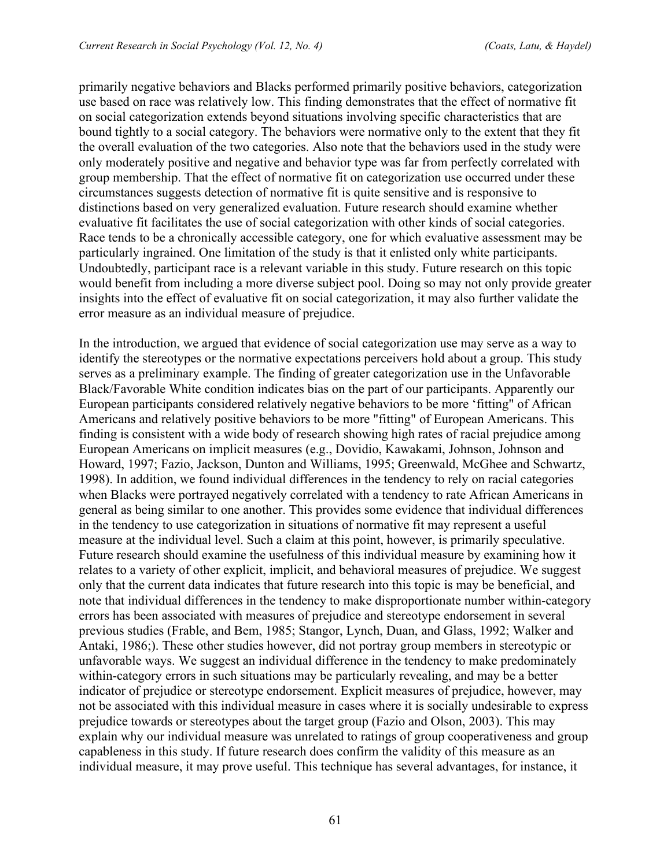primarily negative behaviors and Blacks performed primarily positive behaviors, categorization use based on race was relatively low. This finding demonstrates that the effect of normative fit on social categorization extends beyond situations involving specific characteristics that are bound tightly to a social category. The behaviors were normative only to the extent that they fit the overall evaluation of the two categories. Also note that the behaviors used in the study were only moderately positive and negative and behavior type was far from perfectly correlated with group membership. That the effect of normative fit on categorization use occurred under these circumstances suggests detection of normative fit is quite sensitive and is responsive to distinctions based on very generalized evaluation. Future research should examine whether evaluative fit facilitates the use of social categorization with other kinds of social categories. Race tends to be a chronically accessible category, one for which evaluative assessment may be particularly ingrained. One limitation of the study is that it enlisted only white participants. Undoubtedly, participant race is a relevant variable in this study. Future research on this topic would benefit from including a more diverse subject pool. Doing so may not only provide greater insights into the effect of evaluative fit on social categorization, it may also further validate the error measure as an individual measure of prejudice.

In the introduction, we argued that evidence of social categorization use may serve as a way to identify the stereotypes or the normative expectations perceivers hold about a group. This study serves as a preliminary example. The finding of greater categorization use in the Unfavorable Black/Favorable White condition indicates bias on the part of our participants. Apparently our European participants considered relatively negative behaviors to be more 'fitting" of African Americans and relatively positive behaviors to be more "fitting" of European Americans. This finding is consistent with a wide body of research showing high rates of racial prejudice among European Americans on implicit measures (e.g., Dovidio, Kawakami, Johnson, Johnson and Howard, 1997; Fazio, Jackson, Dunton and Williams, 1995; Greenwald, McGhee and Schwartz, 1998). In addition, we found individual differences in the tendency to rely on racial categories when Blacks were portrayed negatively correlated with a tendency to rate African Americans in general as being similar to one another. This provides some evidence that individual differences in the tendency to use categorization in situations of normative fit may represent a useful measure at the individual level. Such a claim at this point, however, is primarily speculative. Future research should examine the usefulness of this individual measure by examining how it relates to a variety of other explicit, implicit, and behavioral measures of prejudice. We suggest only that the current data indicates that future research into this topic is may be beneficial, and note that individual differences in the tendency to make disproportionate number within-category errors has been associated with measures of prejudice and stereotype endorsement in several previous studies (Frable, and Bem, 1985; Stangor, Lynch, Duan, and Glass, 1992; Walker and Antaki, 1986;). These other studies however, did not portray group members in stereotypic or unfavorable ways. We suggest an individual difference in the tendency to make predominately within-category errors in such situations may be particularly revealing, and may be a better indicator of prejudice or stereotype endorsement. Explicit measures of prejudice, however, may not be associated with this individual measure in cases where it is socially undesirable to express prejudice towards or stereotypes about the target group (Fazio and Olson, 2003). This may explain why our individual measure was unrelated to ratings of group cooperativeness and group capableness in this study. If future research does confirm the validity of this measure as an individual measure, it may prove useful. This technique has several advantages, for instance, it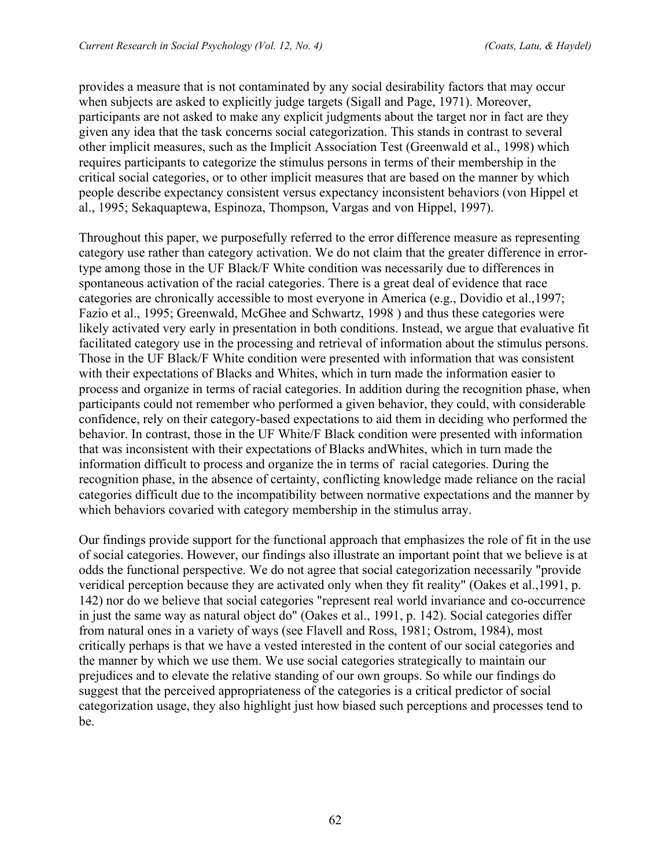provides a measure that is not contaminated by any social desirability factors that may occur when subjects are asked to explicitly judge targets (Sigall and Page, 1971). Moreover, participants are not asked to make any explicit judgments about the target nor in fact are they given any idea that the task concerns social categorization. This stands in contrast to several other implicit measures, such as the Implicit Association Test (Greenwald et al., 1998) which requires participants to categorize the stimulus persons in terms of their membership in the critical social categories, or to other implicit measures that are based on the manner by which people describe expectancy consistent versus expectancy inconsistent behaviors (von Hippel et al., 1995; Sekaquaptewa, Espinoza, Thompson, Vargas and von Hippel, 1997).

Throughout this paper, we purposefully referred to the error difference measure as representing category use rather than category activation. We do not claim that the greater difference in errortype among those in the UF Black/F White condition was necessarily due to differences in spontaneous activation of the racial categories. There is a great deal of evidence that race categories are chronically accessible to most everyone in America (e.g., Dovidio et al.,1997; Fazio et al., 1995; Greenwald, McGhee and Schwartz, 1998 ) and thus these categories were likely activated very early in presentation in both conditions. Instead, we argue that evaluative fit facilitated category use in the processing and retrieval of information about the stimulus persons. Those in the UF Black/F White condition were presented with information that was consistent with their expectations of Blacks and Whites, which in turn made the information easier to process and organize in terms of racial categories. In addition during the recognition phase, when participants could not remember who performed a given behavior, they could, with considerable confidence, rely on their category-based expectations to aid them in deciding who performed the behavior. In contrast, those in the UF White/F Black condition were presented with information that was inconsistent with their expectations of Blacks andWhites, which in turn made the information difficult to process and organize the in terms of racial categories. During the recognition phase, in the absence of certainty, conflicting knowledge made reliance on the racial categories difficult due to the incompatibility between normative expectations and the manner by which behaviors covaried with category membership in the stimulus array.

Our findings provide support for the functional approach that emphasizes the role of fit in the use of social categories. However, our findings also illustrate an important point that we believe is at odds the functional perspective. We do not agree that social categorization necessarily "provide veridical perception because they are activated only when they fit reality" (Oakes et al.,1991, p. 142) nor do we believe that social categories "represent real world invariance and co-occurrence in just the same way as natural object do" (Oakes et al., 1991, p. 142). Social categories differ from natural ones in a variety of ways (see Flavell and Ross, 1981; Ostrom, 1984), most critically perhaps is that we have a vested interested in the content of our social categories and the manner by which we use them. We use social categories strategically to maintain our prejudices and to elevate the relative standing of our own groups. So while our findings do suggest that the perceived appropriateness of the categories is a critical predictor of social categorization usage, they also highlight just how biased such perceptions and processes tend to be.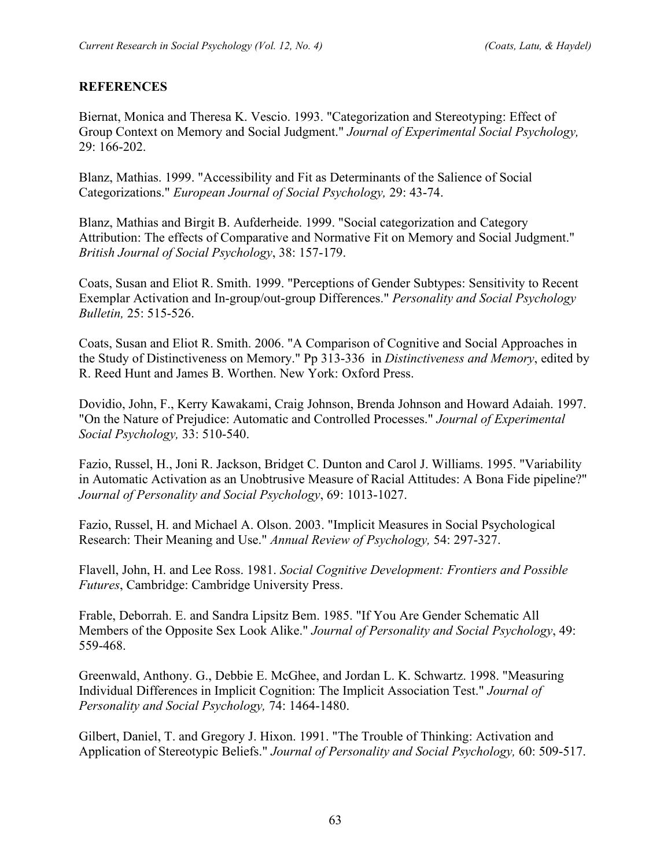### **REFERENCES**

Biernat, Monica and Theresa K. Vescio. 1993. "Categorization and Stereotyping: Effect of Group Context on Memory and Social Judgment." *Journal of Experimental Social Psychology,* 29: 166-202.

Blanz, Mathias. 1999. "Accessibility and Fit as Determinants of the Salience of Social Categorizations." *European Journal of Social Psychology,* 29: 43-74.

Blanz, Mathias and Birgit B. Aufderheide. 1999. "Social categorization and Category Attribution: The effects of Comparative and Normative Fit on Memory and Social Judgment." *British Journal of Social Psychology*, 38: 157-179.

Coats, Susan and Eliot R. Smith. 1999. "Perceptions of Gender Subtypes: Sensitivity to Recent Exemplar Activation and In-group/out-group Differences." *Personality and Social Psychology Bulletin,* 25: 515-526.

Coats, Susan and Eliot R. Smith. 2006. "A Comparison of Cognitive and Social Approaches in the Study of Distinctiveness on Memory." Pp 313-336 in *Distinctiveness and Memory*, edited by R. Reed Hunt and James B. Worthen. New York: Oxford Press.

Dovidio, John, F., Kerry Kawakami, Craig Johnson, Brenda Johnson and Howard Adaiah. 1997. "On the Nature of Prejudice: Automatic and Controlled Processes." *Journal of Experimental Social Psychology,* 33: 510-540.

Fazio, Russel, H., Joni R. Jackson, Bridget C. Dunton and Carol J. Williams. 1995. "Variability in Automatic Activation as an Unobtrusive Measure of Racial Attitudes: A Bona Fide pipeline?" *Journal of Personality and Social Psychology*, 69: 1013-1027.

Fazio, Russel, H. and Michael A. Olson. 2003. "Implicit Measures in Social Psychological Research: Their Meaning and Use." *Annual Review of Psychology,* 54: 297-327.

Flavell, John, H. and Lee Ross. 1981. *Social Cognitive Development: Frontiers and Possible Futures*, Cambridge: Cambridge University Press.

Frable, Deborrah. E. and Sandra Lipsitz Bem. 1985. "If You Are Gender Schematic All Members of the Opposite Sex Look Alike." *Journal of Personality and Social Psychology*, 49: 559-468.

Greenwald, Anthony. G., Debbie E. McGhee, and Jordan L. K. Schwartz. 1998. "Measuring Individual Differences in Implicit Cognition: The Implicit Association Test." *Journal of Personality and Social Psychology,* 74: 1464-1480.

Gilbert, Daniel, T. and Gregory J. Hixon. 1991. "The Trouble of Thinking: Activation and Application of Stereotypic Beliefs." *Journal of Personality and Social Psychology,* 60: 509-517.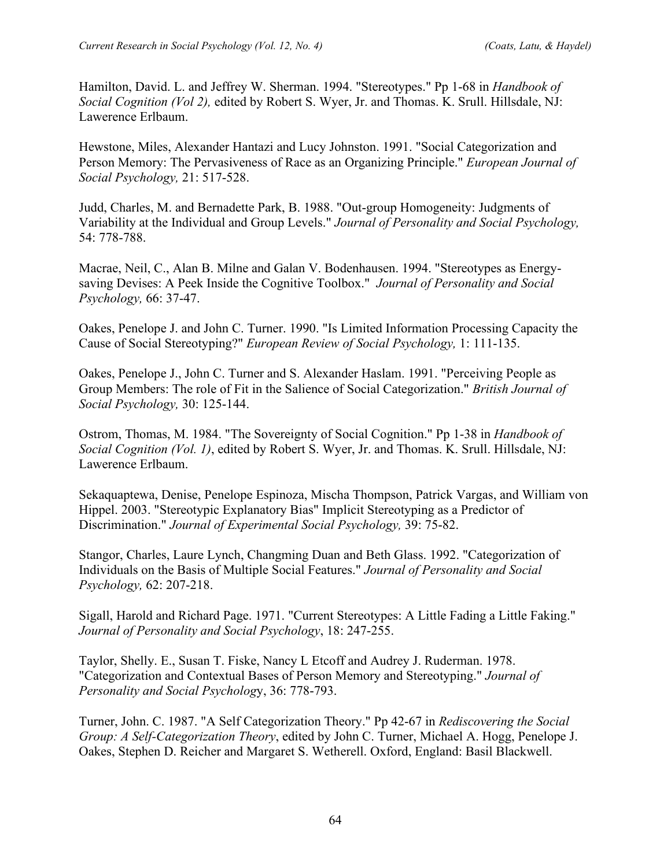Hamilton, David. L. and Jeffrey W. Sherman. 1994. "Stereotypes." Pp 1-68 in *Handbook of Social Cognition (Vol 2),* edited by Robert S. Wyer, Jr. and Thomas. K. Srull. Hillsdale, NJ: Lawerence Erlbaum.

Hewstone, Miles, Alexander Hantazi and Lucy Johnston. 1991. "Social Categorization and Person Memory: The Pervasiveness of Race as an Organizing Principle." *European Journal of Social Psychology,* 21: 517-528.

Judd, Charles, M. and Bernadette Park, B. 1988. "Out-group Homogeneity: Judgments of Variability at the Individual and Group Levels." *Journal of Personality and Social Psychology,* 54: 778-788.

Macrae, Neil, C., Alan B. Milne and Galan V. Bodenhausen. 1994. "Stereotypes as Energysaving Devises: A Peek Inside the Cognitive Toolbox." *Journal of Personality and Social Psychology,* 66: 37-47.

Oakes, Penelope J. and John C. Turner. 1990. "Is Limited Information Processing Capacity the Cause of Social Stereotyping?" *European Review of Social Psychology,* 1: 111-135.

Oakes, Penelope J., John C. Turner and S. Alexander Haslam. 1991. "Perceiving People as Group Members: The role of Fit in the Salience of Social Categorization." *British Journal of Social Psychology,* 30: 125-144.

Ostrom, Thomas, M. 1984. "The Sovereignty of Social Cognition." Pp 1-38 in *Handbook of Social Cognition (Vol. 1)*, edited by Robert S. Wyer, Jr. and Thomas. K. Srull. Hillsdale, NJ: Lawerence Erlbaum.

Sekaquaptewa, Denise, Penelope Espinoza, Mischa Thompson, Patrick Vargas, and William von Hippel. 2003. "Stereotypic Explanatory Bias" Implicit Stereotyping as a Predictor of Discrimination." *Journal of Experimental Social Psychology,* 39: 75-82.

Stangor, Charles, Laure Lynch, Changming Duan and Beth Glass. 1992. "Categorization of Individuals on the Basis of Multiple Social Features." *Journal of Personality and Social Psychology,* 62: 207-218.

Sigall, Harold and Richard Page. 1971. "Current Stereotypes: A Little Fading a Little Faking." *Journal of Personality and Social Psychology*, 18: 247-255.

Taylor, Shelly. E., Susan T. Fiske, Nancy L Etcoff and Audrey J. Ruderman. 1978. "Categorization and Contextual Bases of Person Memory and Stereotyping." *Journal of Personality and Social Psycholog*y, 36: 778-793.

Turner, John. C. 1987. "A Self Categorization Theory." Pp 42-67 in *Rediscovering the Social Group: A Self-Categorization Theory*, edited by John C. Turner, Michael A. Hogg, Penelope J. Oakes, Stephen D. Reicher and Margaret S. Wetherell. Oxford, England: Basil Blackwell.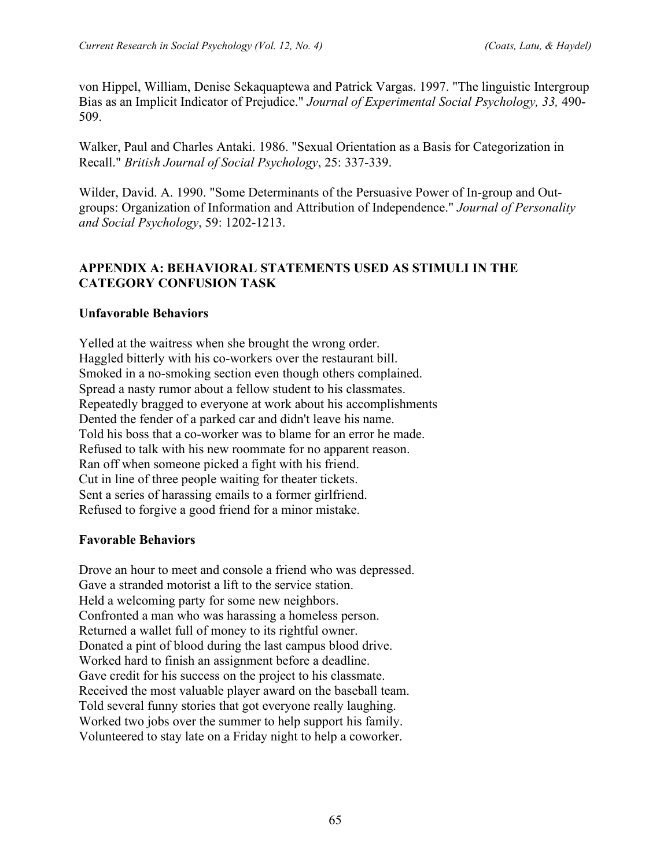von Hippel, William, Denise Sekaquaptewa and Patrick Vargas. 1997. "The linguistic Intergroup Bias as an Implicit Indicator of Prejudice." *Journal of Experimental Social Psychology, 33,* 490- 509.

Walker, Paul and Charles Antaki. 1986. "Sexual Orientation as a Basis for Categorization in Recall." *British Journal of Social Psychology*, 25: 337-339.

Wilder, David. A. 1990. "Some Determinants of the Persuasive Power of In-group and Outgroups: Organization of Information and Attribution of Independence." *Journal of Personality and Social Psychology*, 59: 1202-1213.

### **APPENDIX A: BEHAVIORAL STATEMENTS USED AS STIMULI IN THE CATEGORY CONFUSION TASK**

### **Unfavorable Behaviors**

Yelled at the waitress when she brought the wrong order. Haggled bitterly with his co-workers over the restaurant bill. Smoked in a no-smoking section even though others complained. Spread a nasty rumor about a fellow student to his classmates. Repeatedly bragged to everyone at work about his accomplishments Dented the fender of a parked car and didn't leave his name. Told his boss that a co-worker was to blame for an error he made. Refused to talk with his new roommate for no apparent reason. Ran off when someone picked a fight with his friend. Cut in line of three people waiting for theater tickets. Sent a series of harassing emails to a former girlfriend. Refused to forgive a good friend for a minor mistake.

### **Favorable Behaviors**

Drove an hour to meet and console a friend who was depressed. Gave a stranded motorist a lift to the service station. Held a welcoming party for some new neighbors. Confronted a man who was harassing a homeless person. Returned a wallet full of money to its rightful owner. Donated a pint of blood during the last campus blood drive. Worked hard to finish an assignment before a deadline. Gave credit for his success on the project to his classmate. Received the most valuable player award on the baseball team. Told several funny stories that got everyone really laughing. Worked two jobs over the summer to help support his family. Volunteered to stay late on a Friday night to help a coworker.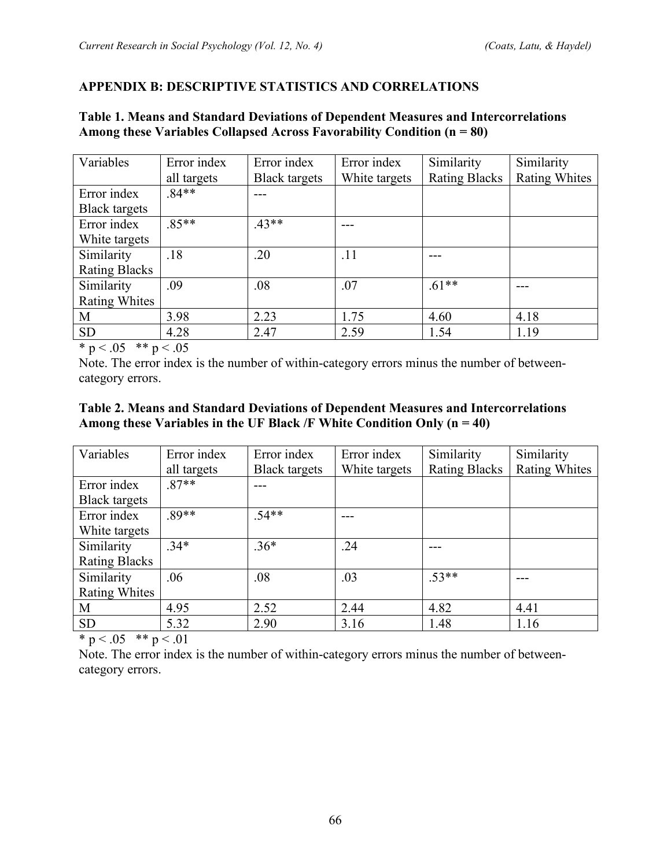### **APPENDIX B: DESCRIPTIVE STATISTICS AND CORRELATIONS**

#### **Table 1. Means and Standard Deviations of Dependent Measures and Intercorrelations Among these Variables Collapsed Across Favorability Condition (n = 80)**  $\overline{\mathbf{E}}$  $\overline{\phantom{0}}$ Variables | Error index Error index Similarity Similarity

| Variables            | Error index | Error index          | Error index   | Similarity           | Similarity           |
|----------------------|-------------|----------------------|---------------|----------------------|----------------------|
|                      | all targets | <b>Black targets</b> | White targets | <b>Rating Blacks</b> | <b>Rating Whites</b> |
| Error index          | $.84**$     |                      |               |                      |                      |
| <b>Black targets</b> |             |                      |               |                      |                      |
| Error index          | $.85**$     | $.43**$              |               |                      |                      |
| White targets        |             |                      |               |                      |                      |
| Similarity           | .18         | .20                  | .11           |                      |                      |
| <b>Rating Blacks</b> |             |                      |               |                      |                      |
| Similarity           | .09         | .08                  | .07           | $.61**$              |                      |
| Rating Whites        |             |                      |               |                      |                      |
| M                    | 3.98        | 2.23                 | 1.75          | 4.60                 | 4.18                 |
| <b>SD</b>            | 4.28        | 2.47                 | 2.59          | 1.54                 | 1.19                 |

\* p < .05 \*\* p < .05

Note. The error index is the number of within-category errors minus the number of betweencategory errors.

#### **Table 2. Means and Standard Deviations of Dependent Measures and Intercorrelations Among these Variables in the UF Black /F White Condition Only (n = 40)**

| Variables            | Error index | Error index          | Error index   | Similarity           | Similarity           |
|----------------------|-------------|----------------------|---------------|----------------------|----------------------|
|                      | all targets | <b>Black targets</b> | White targets | <b>Rating Blacks</b> | <b>Rating Whites</b> |
| Error index          | $.87**$     |                      |               |                      |                      |
| <b>Black targets</b> |             |                      |               |                      |                      |
| Error index          | .89**       | $.54**$              |               |                      |                      |
| White targets        |             |                      |               |                      |                      |
| Similarity           | $.34*$      | $.36*$               | .24           |                      |                      |
| <b>Rating Blacks</b> |             |                      |               |                      |                      |
| Similarity           | .06         | .08                  | .03           | $.53**$              |                      |
| Rating Whites        |             |                      |               |                      |                      |
| M                    | 4.95        | 2.52                 | 2.44          | 4.82                 | 4.41                 |
| <b>SD</b>            | 5.32        | 2.90                 | 3.16          | 1.48                 | 1.16                 |

\* p < .05 \*\* p < .01

Note. The error index is the number of within-category errors minus the number of betweencategory errors.